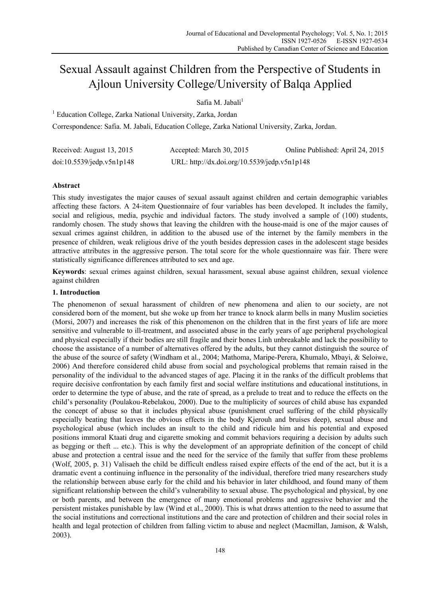# Sexual Assault against Children from the Perspective of Students in Ajloun University College/University of Balqa Applied

Safia M. Jabali $<sup>1</sup>$ </sup>

<sup>1</sup> Education College, Zarka National University, Zarka, Jordan

Correspondence: Safia. M. Jabali, Education College, Zarka National University, Zarka, Jordan.

| Received: August 13, 2015    | Accepted: March 30, 2015                     | Online Published: April 24, 2015 |
|------------------------------|----------------------------------------------|----------------------------------|
| $doi:10.5539/j$ edp.v5n1p148 | URL: http://dx.doi.org/10.5539/jedp.v5n1p148 |                                  |

# **Abstract**

This study investigates the major causes of sexual assault against children and certain demographic variables affecting these factors. A 24-item Questionnaire of four variables has been developed. It includes the family, social and religious, media, psychic and individual factors. The study involved a sample of (100) students, randomly chosen. The study shows that leaving the children with the house-maid is one of the major causes of sexual crimes against children, in addition to the abused use of the internet by the family members in the presence of children, weak religious drive of the youth besides depression cases in the adolescent stage besides attractive attributes in the aggressive person. The total score for the whole questionnaire was fair. There were statistically significance differences attributed to sex and age.

**Keywords**: sexual crimes against children, sexual harassment, sexual abuse against children, sexual violence against children

## **1. Introduction**

The phenomenon of sexual harassment of children of new phenomena and alien to our society, are not considered born of the moment, but she woke up from her trance to knock alarm bells in many Muslim societies (Morsi, 2007) and increases the risk of this phenomenon on the children that in the first years of life are more sensitive and vulnerable to ill-treatment, and associated abuse in the early years of age peripheral psychological and physical especially if their bodies are still fragile and their bones Linh unbreakable and lack the possibility to choose the assistance of a number of alternatives offered by the adults, but they cannot distinguish the source of the abuse of the source of safety (Windham et al., 2004; Mathoma, Maripe-Perera, Khumalo, Mbayi, & Seloiwe, 2006) And therefore considered child abuse from social and psychological problems that remain raised in the personality of the individual to the advanced stages of age. Placing it in the ranks of the difficult problems that require decisive confrontation by each family first and social welfare institutions and educational institutions, in order to determine the type of abuse, and the rate of spread, as a prelude to treat and to reduce the effects on the child's personality (Poulakou-Rebelakou, 2000). Due to the multiplicity of sources of child abuse has expanded the concept of abuse so that it includes physical abuse (punishment cruel suffering of the child physically especially beating that leaves the obvious effects in the body Kjerouh and bruises deep), sexual abuse and psychological abuse (which includes an insult to the child and ridicule him and his potential and exposed positions immoral Ktaati drug and cigarette smoking and commit behaviors requiring a decision by adults such as begging or theft ... etc.). This is why the development of an appropriate definition of the concept of child abuse and protection a central issue and the need for the service of the family that suffer from these problems (Wolf, 2005, p. 31) Valisaeh the child be difficult endless raised expire effects of the end of the act, but it is a dramatic event a continuing influence in the personality of the individual, therefore tried many researchers study the relationship between abuse early for the child and his behavior in later childhood, and found many of them significant relationship between the child's vulnerability to sexual abuse. The psychological and physical, by one or both parents, and between the emergence of many emotional problems and aggressive behavior and the persistent mistakes punishable by law (Wind et al., 2000). This is what draws attention to the need to assume that the social institutions and correctional institutions and the care and protection of children and their social roles in health and legal protection of children from falling victim to abuse and neglect (Macmillan, Jamison, & Walsh, 2003).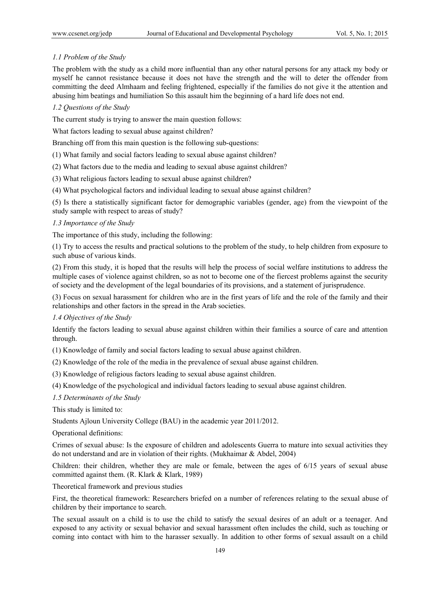# *1.1 Problem of the Study*

The problem with the study as a child more influential than any other natural persons for any attack my body or myself he cannot resistance because it does not have the strength and the will to deter the offender from committing the deed Almhaam and feeling frightened, especially if the families do not give it the attention and abusing him beatings and humiliation So this assault him the beginning of a hard life does not end.

# *1.2 Questions of the Study*

The current study is trying to answer the main question follows:

What factors leading to sexual abuse against children?

Branching off from this main question is the following sub-questions:

(1) What family and social factors leading to sexual abuse against children?

(2) What factors due to the media and leading to sexual abuse against children?

(3) What religious factors leading to sexual abuse against children?

(4) What psychological factors and individual leading to sexual abuse against children?

(5) Is there a statistically significant factor for demographic variables (gender, age) from the viewpoint of the study sample with respect to areas of study?

# *1.3 Importance of the Study*

The importance of this study, including the following:

(1) Try to access the results and practical solutions to the problem of the study, to help children from exposure to such abuse of various kinds.

(2) From this study, it is hoped that the results will help the process of social welfare institutions to address the multiple cases of violence against children, so as not to become one of the fiercest problems against the security of society and the development of the legal boundaries of its provisions, and a statement of jurisprudence.

(3) Focus on sexual harassment for children who are in the first years of life and the role of the family and their relationships and other factors in the spread in the Arab societies.

# *1.4 Objectives of the Study*

Identify the factors leading to sexual abuse against children within their families a source of care and attention through.

(1) Knowledge of family and social factors leading to sexual abuse against children.

(2) Knowledge of the role of the media in the prevalence of sexual abuse against children.

(3) Knowledge of religious factors leading to sexual abuse against children.

(4) Knowledge of the psychological and individual factors leading to sexual abuse against children.

*1.5 Determinants of the Study* 

This study is limited to:

Students Ajloun University College (BAU) in the academic year 2011/2012.

Operational definitions:

Crimes of sexual abuse: Is the exposure of children and adolescents Guerra to mature into sexual activities they do not understand and are in violation of their rights. (Mukhaimar & Abdel, 2004)

Children: their children, whether they are male or female, between the ages of 6/15 years of sexual abuse committed against them. (R. Klark & Klark, 1989)

Theoretical framework and previous studies

First, the theoretical framework: Researchers briefed on a number of references relating to the sexual abuse of children by their importance to search.

The sexual assault on a child is to use the child to satisfy the sexual desires of an adult or a teenager. And exposed to any activity or sexual behavior and sexual harassment often includes the child, such as touching or coming into contact with him to the harasser sexually. In addition to other forms of sexual assault on a child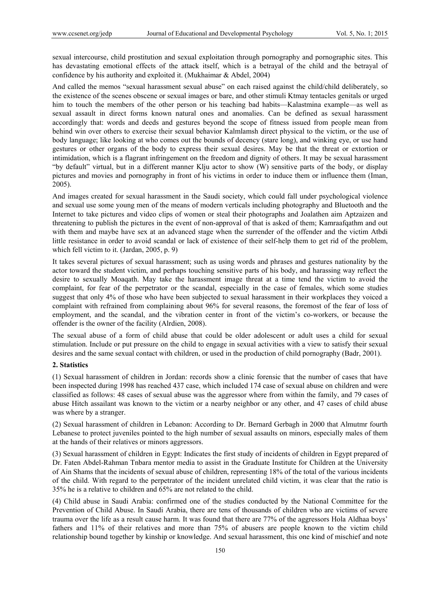sexual intercourse, child prostitution and sexual exploitation through pornography and pornographic sites. This has devastating emotional effects of the attack itself, which is a betrayal of the child and the betrayal of confidence by his authority and exploited it. (Mukhaimar & Abdel, 2004)

And called the memos "sexual harassment sexual abuse" on each raised against the child/child deliberately, so the existence of the scenes obscene or sexual images or bare, and other stimuli Ktmay tentacles genitals or urged him to touch the members of the other person or his teaching bad habits—Kalastmina example—as well as sexual assault in direct forms known natural ones and anomalies. Can be defined as sexual harassment accordingly that: words and deeds and gestures beyond the scope of fitness issued from people mean from behind win over others to exercise their sexual behavior Kalmlamsh direct physical to the victim, or the use of body language; like looking at who comes out the bounds of decency (stare long), and winking eye, or use hand gestures or other organs of the body to express their sexual desires. May be that the threat or extortion or intimidation, which is a flagrant infringement on the freedom and dignity of others. It may be sexual harassment "by default" virtual, but in a different manner Klju actor to show (W) sensitive parts of the body, or display pictures and movies and pornography in front of his victims in order to induce them or influence them (Iman, 2005).

And images created for sexual harassment in the Saudi society, which could fall under psychological violence and sexual use some young men of the means of modern verticals including photography and Bluetooth and the Internet to take pictures and video clips of women or steal their photographs and Joalathen aim Aptzaizen and threatening to publish the pictures in the event of non-approval of that is asked of them; Kamraafqathm and out with them and maybe have sex at an advanced stage when the surrender of the offender and the victim Atbdi little resistance in order to avoid scandal or lack of existence of their self-help them to get rid of the problem, which fell victim to it. (Jardan, 2005, p. 9)

It takes several pictures of sexual harassment; such as using words and phrases and gestures nationality by the actor toward the student victim, and perhaps touching sensitive parts of his body, and harassing way reflect the desire to sexually Moaqath. May take the harassment image threat at a time tend the victim to avoid the complaint, for fear of the perpetrator or the scandal, especially in the case of females, which some studies suggest that only 4% of those who have been subjected to sexual harassment in their workplaces they voiced a complaint with refrained from complaining about 96% for several reasons, the foremost of the fear of loss of employment, and the scandal, and the vibration center in front of the victim's co-workers, or because the offender is the owner of the facility (Alrdien, 2008).

The sexual abuse of a form of child abuse that could be older adolescent or adult uses a child for sexual stimulation. Include or put pressure on the child to engage in sexual activities with a view to satisfy their sexual desires and the same sexual contact with children, or used in the production of child pornography (Badr, 2001).

#### **2. Statistics**

(1) Sexual harassment of children in Jordan: records show a clinic forensic that the number of cases that have been inspected during 1998 has reached 437 case, which included 174 case of sexual abuse on children and were classified as follows: 48 cases of sexual abuse was the aggressor where from within the family, and 79 cases of abuse Hitch assailant was known to the victim or a nearby neighbor or any other, and 47 cases of child abuse was where by a stranger.

(2) Sexual harassment of children in Lebanon: According to Dr. Bernard Gerbagh in 2000 that Almutmr fourth Lebanese to protect juveniles pointed to the high number of sexual assaults on minors, especially males of them at the hands of their relatives or minors aggressors.

(3) Sexual harassment of children in Egypt: Indicates the first study of incidents of children in Egypt prepared of Dr. Faten Abdel-Rahman Tnbara mentor media to assist in the Graduate Institute for Children at the University of Ain Shams that the incidents of sexual abuse of children, representing 18% of the total of the various incidents of the child. With regard to the perpetrator of the incident unrelated child victim, it was clear that the ratio is 35% he is a relative to children and 65% are not related to the child.

(4) Child abuse in Saudi Arabia: confirmed one of the studies conducted by the National Committee for the Prevention of Child Abuse. In Saudi Arabia, there are tens of thousands of children who are victims of severe trauma over the life as a result cause harm. It was found that there are 77% of the aggressors Hola Aldhaa boys' fathers and 11% of their relatives and more than 75% of abusers are people known to the victim child relationship bound together by kinship or knowledge. And sexual harassment, this one kind of mischief and note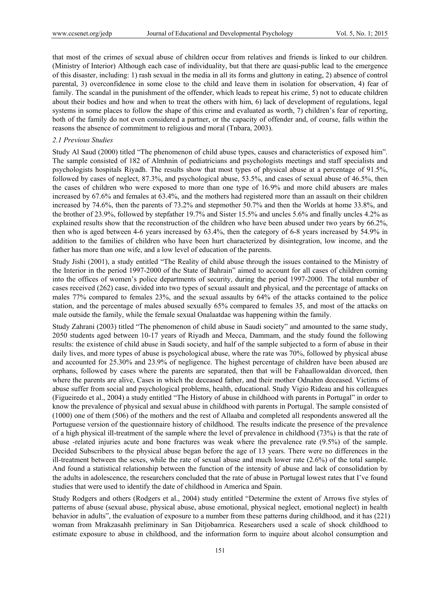that most of the crimes of sexual abuse of children occur from relatives and friends is linked to our children. (Ministry of Interior) Although each case of individuality, but that there are quasi-public lead to the emergence of this disaster, including: 1) rash sexual in the media in all its forms and gluttony in eating, 2) absence of control parental, 3) overconfidence in some close to the child and leave them in isolation for observation, 4) fear of family. The scandal in the punishment of the offender, which leads to repeat his crime, 5) not to educate children about their bodies and how and when to treat the others with him, 6) lack of development of regulations, legal systems in some places to follow the shape of this crime and evaluated as worth, 7) children's fear of reporting, both of the family do not even considered a partner, or the capacity of offender and, of course, falls within the reasons the absence of commitment to religious and moral (Tnbara, 2003).

#### *2.1 Previous Studies*

Study Al Saud (2000) titled "The phenomenon of child abuse types, causes and characteristics of exposed him". The sample consisted of 182 of Almhnin of pediatricians and psychologists meetings and staff specialists and psychologists hospitals Riyadh. The results show that most types of physical abuse at a percentage of 91.5%, followed by cases of neglect, 87.3%, and psychological abuse, 53.5%, and cases of sexual abuse of 46.5%, then the cases of children who were exposed to more than one type of 16.9% and more child abusers are males increased by 67.6% and females at 63.4%, and the mothers had registered more than an assault on their children increased by 74.6%, then the parents of 73.2% and stepmother 50.7% and then the Worlds at home 33.8%, and the brother of 23.9%, followed by stepfather 19.7% and Sister 15.5% and uncles 5.6% and finally uncles 4.2% as explained results show that the reconstruction of the children who have been abused under two years by 66.2%, then who is aged between 4-6 years increased by 63.4%, then the category of 6-8 years increased by 54.9% in addition to the families of children who have been hurt characterized by disintegration, low income, and the father has more than one wife, and a low level of education of the parents.

Study Jishi (2001), a study entitled "The Reality of child abuse through the issues contained to the Ministry of the Interior in the period 1997-2000 of the State of Bahrain" aimed to account for all cases of children coming into the offices of women's police departments of security, during the period 1997-2000. The total number of cases received (262) case, divided into two types of sexual assault and physical, and the percentage of attacks on males 77% compared to females 23%, and the sexual assaults by 64% of the attacks contained to the police station, and the percentage of males abused sexually 65% compared to females 35, and most of the attacks on male outside the family, while the female sexual Onalaatdae was happening within the family.

Study Zahrani (2003) titled "The phenomenon of child abuse in Saudi society" and amounted to the same study, 2050 students aged between 10-17 years of Riyadh and Mecca, Dammam, and the study found the following results: the existence of child abuse in Saudi society, and half of the sample subjected to a form of abuse in their daily lives, and more types of abuse is psychological abuse, where the rate was 70%, followed by physical abuse and accounted for 25.30% and 23.9% of negligence. The highest percentage of children have been abused are orphans, followed by cases where the parents are separated, then that will be Fahaallowaldan divorced, then where the parents are alive, Cases in which the deceased father, and their mother Odnahm deceased. Victims of abuse suffer from social and psychological problems, health, educational. Study Vigio Rideau and his colleagues (Figueiredo et al., 2004) a study entitled "The History of abuse in childhood with parents in Portugal" in order to know the prevalence of physical and sexual abuse in childhood with parents in Portugal. The sample consisted of (1000) one of them (506) of the mothers and the rest of Allaaba and completed all respondents answered all the Portuguese version of the questionnaire history of childhood. The results indicate the presence of the prevalence of a high physical ill-treatment of the sample where the level of prevalence in childhood (73%) is that the rate of abuse -related injuries acute and bone fractures was weak where the prevalence rate (9.5%) of the sample. Decided Subscribers to the physical abuse began before the age of 13 years. There were no differences in the ill-treatment between the sexes, while the rate of sexual abuse and much lower rate (2.6%) of the total sample. And found a statistical relationship between the function of the intensity of abuse and lack of consolidation by the adults in adolescence, the researchers concluded that the rate of abuse in Portugal lowest rates that I've found studies that were used to identify the date of childhood in America and Spain.

Study Rodgers and others (Rodgers et al., 2004) study entitled "Determine the extent of Arrows five styles of patterns of abuse (sexual abuse, physical abuse, abuse emotional, physical neglect, emotional neglect) in health behavior in adults", the evaluation of exposure to a number from these patterns during childhood, and it has (221) woman from Mrakzasahh preliminary in San Ditjobamrica. Researchers used a scale of shock childhood to estimate exposure to abuse in childhood, and the information form to inquire about alcohol consumption and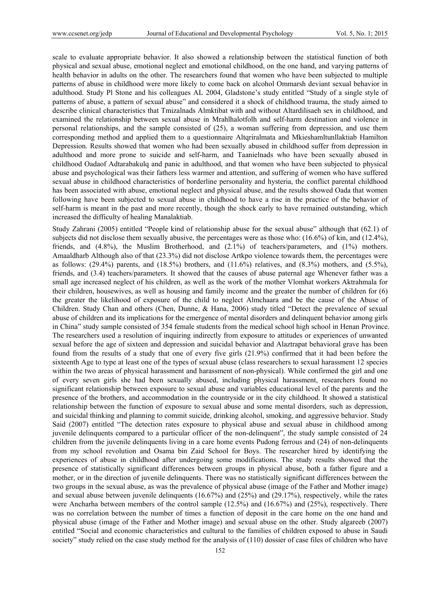scale to evaluate appropriate behavior. It also showed a relationship between the statistical function of both physical and sexual abuse, emotional neglect and emotional childhood, on the one hand, and varying patterns of health behavior in adults on the other. The researchers found that women who have been subjected to multiple patterns of abuse in childhood were more likely to come back on alcohol Ommarsh deviant sexual behavior in adulthood. Study Pl Stone and his colleagues AL 2004, Gladstone's study entitled "Study of a single style of patterns of abuse, a pattern of sexual abuse" and considered it a shock of childhood trauma, the study aimed to describe clinical characteristics that Tmizalnads Almktibat with and without Altardilisaeh sex in childhood, and examined the relationship between sexual abuse in Mrahlhalotfolh and self-harm destination and violence in personal relationships, and the sample consisted of (25), a woman suffering from depression, and use them corresponding method and applied them to a questionnaire Altqriralmata and Mkieshamltunllaktiab Hamilton Depression. Results showed that women who had been sexually abused in childhood suffer from depression in adulthood and more prone to suicide and self-harm, and Taanielnads who have been sexually abused in childhood Oadaof Adtarabakulq and panic in adulthood, and that women who have been subjected to physical abuse and psychological was their fathers less warmer and attention, and suffering of women who have suffered sexual abuse in childhood characteristics of borderline personality and hysteria, the conflict parental childhood has been associated with abuse, emotional neglect and physical abuse, and the results showed Oada that women following have been subjected to sexual abuse in childhood to have a rise in the practice of the behavior of self-harm is meant in the past and more recently, though the shock early to have remained outstanding, which increased the difficulty of healing Manalaktiab.

Study Zahrani (2005) entitled "People kind of relationship abuse for the sexual abuse" although that (62.1) of subjects did not disclose them sexually abusive, the percentages were as those who: (16.6%) of kin, and (12.4%), friends, and (4.8%), the Muslim Brotherhood, and (2.1%) of teachers/parameters, and (1%) mothers. Amaaldharb Although also of that (23.3%) did not disclose Artkpo violence towards them, the percentages were as follows:  $(29.4\%)$  parents, and  $(18.5\%)$  brothers, and  $(11.6\%)$  relatives, and  $(8.3\%)$  mothers, and  $(5.5\%)$ , friends, and (3.4) teachers/parameters. It showed that the causes of abuse paternal age Whenever father was a small age increased neglect of his children, as well as the work of the mother Vlomhat workers Aktrahmala for their children, housewives, as well as housing and family income and the greater the number of children for (6) the greater the likelihood of exposure of the child to neglect Almchaara and be the cause of the Abuse of Children. Study Chan and others (Chen, Dunne, & Hana, 2006) study titled "Detect the prevalence of sexual abuse of children and its implications for the emergence of mental disorders and delinquent behavior among girls in China" study sample consisted of 354 female students from the medical school high school in Henan Province. The researchers used a resolution of inquiring indirectly from exposure to attitudes or experiences of unwanted sexual before the age of sixteen and depression and suicidal behavior and Alaztrapat behavioral grave has been found from the results of a study that one of every five girls (21.9%) confirmed that it had been before the sixteenth Age to type at least one of the types of sexual abuse (class researchers to sexual harassment 12 species within the two areas of physical harassment and harassment of non-physical). While confirmed the girl and one of every seven girls she had been sexually abused, including physical harassment, researchers found no significant relationship between exposure to sexual abuse and variables educational level of the parents and the presence of the brothers, and accommodation in the countryside or in the city childhood. It showed a statistical relationship between the function of exposure to sexual abuse and some mental disorders, such as depression, and suicidal thinking and planning to commit suicide, drinking alcohol, smoking, and aggressive behavior. Study Said (2007) entitled "The detection rates exposure to physical abuse and sexual abuse in childhood among juvenile delinquents compared to a particular officer of the non-delinquent", the study sample consisted of 24 children from the juvenile delinquents living in a care home events Pudong ferrous and (24) of non-delinquents from my school revolution and Osama bin Zaid School for Boys. The researcher hired by identifying the experiences of abuse in childhood after undergoing some modifications. The study results showed that the presence of statistically significant differences between groups in physical abuse, both a father figure and a mother, or in the direction of juvenile delinquents. There was no statistically significant differences between the two groups in the sexual abuse, as was the prevalence of physical abuse (image of the Father and Mother image) and sexual abuse between juvenile delinquents (16.67%) and (25%) and (29.17%), respectively, while the rates were Ancharha between members of the control sample (12.5%) and (16.67%) and (25%), respectively. There was no correlation between the number of times a function of deposit in the care home on the one hand and physical abuse (image of the Father and Mother image) and sexual abuse on the other. Study algareeb (2007) entitled "Social and economic characteristics and cultural to the families of children exposed to abuse in Saudi society" study relied on the case study method for the analysis of (110) dossier of case files of children who have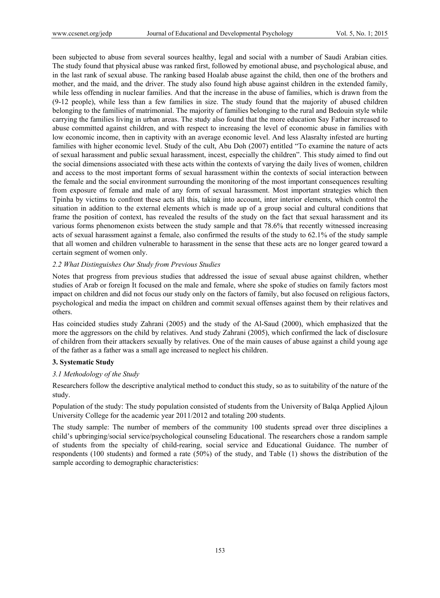been subjected to abuse from several sources healthy, legal and social with a number of Saudi Arabian cities. The study found that physical abuse was ranked first, followed by emotional abuse, and psychological abuse, and in the last rank of sexual abuse. The ranking based Hoalab abuse against the child, then one of the brothers and mother, and the maid, and the driver. The study also found high abuse against children in the extended family, while less offending in nuclear families. And that the increase in the abuse of families, which is drawn from the (9-12 people), while less than a few families in size. The study found that the majority of abused children belonging to the families of matrimonial. The majority of families belonging to the rural and Bedouin style while carrying the families living in urban areas. The study also found that the more education Say Father increased to abuse committed against children, and with respect to increasing the level of economic abuse in families with low economic income, then in captivity with an average economic level. And less Alasralty infested are hurting families with higher economic level. Study of the cult, Abu Doh (2007) entitled "To examine the nature of acts of sexual harassment and public sexual harassment, incest, especially the children". This study aimed to find out the social dimensions associated with these acts within the contexts of varying the daily lives of women, children and access to the most important forms of sexual harassment within the contexts of social interaction between the female and the social environment surrounding the monitoring of the most important consequences resulting from exposure of female and male of any form of sexual harassment. Most important strategies which then Tpinha by victims to confront these acts all this, taking into account, inter interior elements, which control the situation in addition to the external elements which is made up of a group social and cultural conditions that frame the position of context, has revealed the results of the study on the fact that sexual harassment and its various forms phenomenon exists between the study sample and that 78.6% that recently witnessed increasing acts of sexual harassment against a female, also confirmed the results of the study to 62.1% of the study sample that all women and children vulnerable to harassment in the sense that these acts are no longer geared toward a certain segment of women only.

#### *2.2 What Distinguishes Our Study from Previous Studies*

Notes that progress from previous studies that addressed the issue of sexual abuse against children, whether studies of Arab or foreign It focused on the male and female, where she spoke of studies on family factors most impact on children and did not focus our study only on the factors of family, but also focused on religious factors, psychological and media the impact on children and commit sexual offenses against them by their relatives and others.

Has coincided studies study Zahrani (2005) and the study of the Al-Saud (2000), which emphasized that the more the aggressors on the child by relatives. And study Zahrani (2005), which confirmed the lack of disclosure of children from their attackers sexually by relatives. One of the main causes of abuse against a child young age of the father as a father was a small age increased to neglect his children.

## **3. Systematic Study**

# *3.1 Methodology of the Study*

Researchers follow the descriptive analytical method to conduct this study, so as to suitability of the nature of the study.

Population of the study: The study population consisted of students from the University of Balqa Applied Ajloun University College for the academic year 2011/2012 and totaling 200 students.

The study sample: The number of members of the community 100 students spread over three disciplines a child's upbringing/social service/psychological counseling Educational. The researchers chose a random sample of students from the specialty of child-rearing, social service and Educational Guidance. The number of respondents (100 students) and formed a rate (50%) of the study, and Table (1) shows the distribution of the sample according to demographic characteristics: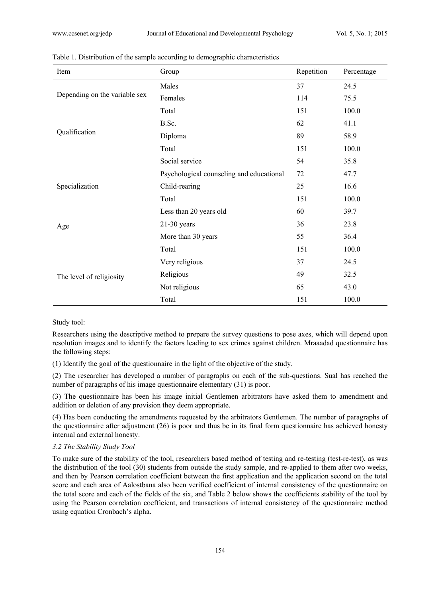| Item                          | Group                                    | Repetition | Percentage |
|-------------------------------|------------------------------------------|------------|------------|
|                               | Males                                    | 37         | 24.5       |
| Depending on the variable sex | Females                                  | 114        | 75.5       |
|                               | Total                                    | 151        | 100.0      |
|                               | B.Sc.                                    | 62         | 41.1       |
| Qualification                 | Diploma                                  | 89         | 58.9       |
|                               | Total                                    | 151        | 100.0      |
|                               | Social service                           | 54         | 35.8       |
|                               | Psychological counseling and educational | 72         | 47.7       |
| Specialization                | Child-rearing                            | 25         | 16.6       |
|                               | Total                                    | 151        | 100.0      |
|                               | Less than 20 years old                   | 60         | 39.7       |
| Age                           | $21-30$ years                            | 36         | 23.8       |
|                               | More than 30 years                       | 55         | 36.4       |
|                               | Total                                    | 151        | 100.0      |
|                               | Very religious                           | 37         | 24.5       |
| The level of religiosity      | Religious                                | 49         | 32.5       |
|                               | Not religious                            | 65         | 43.0       |
|                               | Total                                    | 151        | 100.0      |

Table 1. Distribution of the sample according to demographic characteristics

Study tool:

Researchers using the descriptive method to prepare the survey questions to pose axes, which will depend upon resolution images and to identify the factors leading to sex crimes against children. Mraaadad questionnaire has the following steps:

(1) Identify the goal of the questionnaire in the light of the objective of the study.

(2) The researcher has developed a number of paragraphs on each of the sub-questions. Sual has reached the number of paragraphs of his image questionnaire elementary (31) is poor.

(3) The questionnaire has been his image initial Gentlemen arbitrators have asked them to amendment and addition or deletion of any provision they deem appropriate.

(4) Has been conducting the amendments requested by the arbitrators Gentlemen. The number of paragraphs of the questionnaire after adjustment (26) is poor and thus be in its final form questionnaire has achieved honesty internal and external honesty.

## *3.2 The Stability Study Tool*

To make sure of the stability of the tool, researchers based method of testing and re-testing (test-re-test), as was the distribution of the tool (30) students from outside the study sample, and re-applied to them after two weeks, and then by Pearson correlation coefficient between the first application and the application second on the total score and each area of Aalostbana also been verified coefficient of internal consistency of the questionnaire on the total score and each of the fields of the six, and Table 2 below shows the coefficients stability of the tool by using the Pearson correlation coefficient, and transactions of internal consistency of the questionnaire method using equation Cronbach's alpha.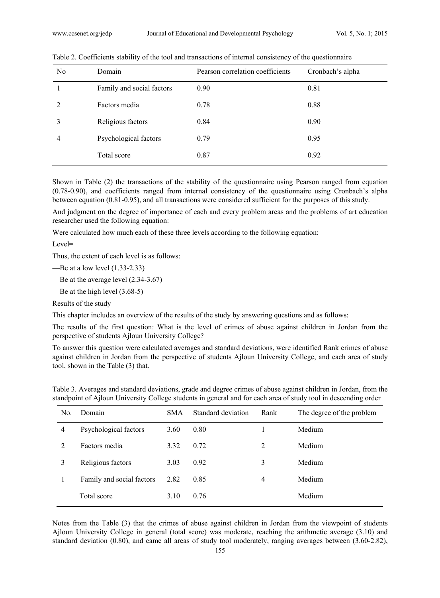| N <sub>0</sub> | Domain                    | Pearson correlation coefficients | Cronbach's alpha |
|----------------|---------------------------|----------------------------------|------------------|
|                | Family and social factors | 0.90                             | 0.81             |
| 2              | Factors media             | 0.78                             | 0.88             |
| 3              | Religious factors         | 0.84                             | 0.90             |
| 4              | Psychological factors     | 0.79                             | 0.95             |
|                | Total score               | 0.87                             | 0.92             |

| Table 2. Coefficients stability of the tool and transactions of internal consistency of the questionnaire |  |  |  |  |  |  |  |  |
|-----------------------------------------------------------------------------------------------------------|--|--|--|--|--|--|--|--|
|-----------------------------------------------------------------------------------------------------------|--|--|--|--|--|--|--|--|

Shown in Table (2) the transactions of the stability of the questionnaire using Pearson ranged from equation (0.78-0.90), and coefficients ranged from internal consistency of the questionnaire using Cronbach's alpha between equation (0.81-0.95), and all transactions were considered sufficient for the purposes of this study.

And judgment on the degree of importance of each and every problem areas and the problems of art education researcher used the following equation:

Were calculated how much each of these three levels according to the following equation:

Level=

Thus, the extent of each level is as follows:

—Be at a low level (1.33-2.33)

—Be at the average level (2.34-3.67)

—Be at the high level (3.68-5)

Results of the study

This chapter includes an overview of the results of the study by answering questions and as follows:

The results of the first question: What is the level of crimes of abuse against children in Jordan from the perspective of students Ajloun University College?

To answer this question were calculated averages and standard deviations, were identified Rank crimes of abuse against children in Jordan from the perspective of students Ajloun University College, and each area of study tool, shown in the Table (3) that.

| Table 3. Averages and standard deviations, grade and degree crimes of abuse against children in Jordan, from the |  |  |  |
|------------------------------------------------------------------------------------------------------------------|--|--|--|
| standpoint of Ajloun University College students in general and for each area of study tool in descending order  |  |  |  |

| No.           | Domain                    | <b>SMA</b> | Standard deviation | Rank | The degree of the problem |
|---------------|---------------------------|------------|--------------------|------|---------------------------|
| 4             | Psychological factors     | 3.60       | 0.80               |      | Medium                    |
| $\mathcal{L}$ | Factors media             | 3.32       | 0.72               | 2    | Medium                    |
|               | Religious factors         | 3.03       | 0.92               | 3    | Medium                    |
|               | Family and social factors | 2.82       | 0.85               | 4    | Medium                    |
|               | Total score               | 3.10       | 0.76               |      | Medium                    |

Notes from the Table (3) that the crimes of abuse against children in Jordan from the viewpoint of students Ajloun University College in general (total score) was moderate, reaching the arithmetic average (3.10) and standard deviation (0.80), and came all areas of study tool moderately, ranging averages between (3.60-2.82),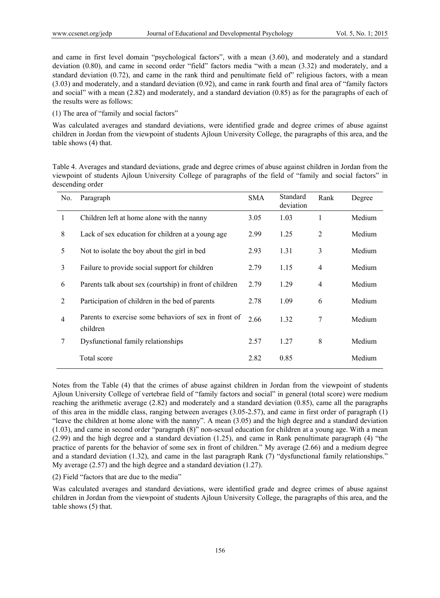and came in first level domain "psychological factors", with a mean (3.60), and moderately and a standard deviation (0.80), and came in second order "field" factors media "with a mean (3.32) and moderately, and a standard deviation (0.72), and came in the rank third and penultimate field of" religious factors, with a mean (3.03) and moderately, and a standard deviation (0.92), and came in rank fourth and final area of "family factors and social" with a mean (2.82) and moderately, and a standard deviation (0.85) as for the paragraphs of each of the results were as follows:

(1) The area of "family and social factors"

Was calculated averages and standard deviations, were identified grade and degree crimes of abuse against children in Jordan from the viewpoint of students Ajloun University College, the paragraphs of this area, and the table shows (4) that.

Table 4. Averages and standard deviations, grade and degree crimes of abuse against children in Jordan from the viewpoint of students Ajloun University College of paragraphs of the field of "family and social factors" in descending order

| No.            | Paragraph                                                         | <b>SMA</b> | Standard<br>deviation | Rank           | Degree |
|----------------|-------------------------------------------------------------------|------------|-----------------------|----------------|--------|
| 1              | Children left at home alone with the nanny                        | 3.05       | 1.03                  | 1              | Medium |
| 8              | Lack of sex education for children at a young age                 | 2.99       | 1.25                  | $\overline{2}$ | Medium |
| 5              | Not to isolate the boy about the girl in bed                      | 2.93       | 1.31                  | 3              | Medium |
| 3              | Failure to provide social support for children                    | 2.79       | 1.15                  | $\overline{4}$ | Medium |
| 6              | Parents talk about sex (courtship) in front of children           | 2.79       | 1.29                  | 4              | Medium |
| 2              | Participation of children in the bed of parents                   | 2.78       | 1.09                  | 6              | Medium |
| $\overline{4}$ | Parents to exercise some behaviors of sex in front of<br>children | 2.66       | 1.32                  | 7              | Medium |
| 7              | Dysfunctional family relationships                                | 2.57       | 1.27                  | 8              | Medium |
|                | Total score                                                       | 2.82       | 0.85                  |                | Medium |

Notes from the Table (4) that the crimes of abuse against children in Jordan from the viewpoint of students Ajloun University College of vertebrae field of "family factors and social" in general (total score) were medium reaching the arithmetic average (2.82) and moderately and a standard deviation (0.85), came all the paragraphs of this area in the middle class, ranging between averages (3.05-2.57), and came in first order of paragraph (1) "leave the children at home alone with the nanny". A mean (3.05) and the high degree and a standard deviation (1.03), and came in second order "paragraph (8)" non-sexual education for children at a young age. With a mean (2.99) and the high degree and a standard deviation (1.25), and came in Rank penultimate paragraph (4) "the practice of parents for the behavior of some sex in front of children." My average (2.66) and a medium degree and a standard deviation (1.32), and came in the last paragraph Rank (7) "dysfunctional family relationships." My average (2.57) and the high degree and a standard deviation (1.27).

(2) Field "factors that are due to the media"

Was calculated averages and standard deviations, were identified grade and degree crimes of abuse against children in Jordan from the viewpoint of students Ajloun University College, the paragraphs of this area, and the table shows (5) that.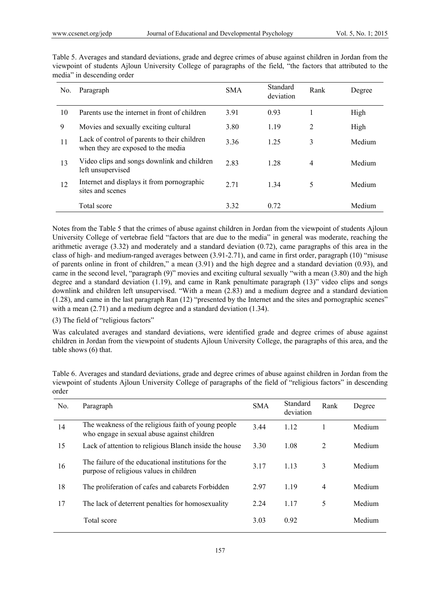| $C_1$ 1 1                                                                                                       |  |
|-----------------------------------------------------------------------------------------------------------------|--|
| media" in descending order                                                                                      |  |
| viewpoint of students Ajloun University College of paragraphs of the field, "the factors that attributed to the |  |
| Table 5. Averages and standard deviations, grade and degree crimes of abuse against children in Jordan from the |  |

| No. | Paragraph                                                                          | <b>SMA</b> | Standard<br>deviation | Rank | Degree |
|-----|------------------------------------------------------------------------------------|------------|-----------------------|------|--------|
| 10  | Parents use the internet in front of children                                      | 3.91       | 0.93                  |      | High   |
| 9   | Movies and sexually exciting cultural                                              | 3.80       | 1.19                  | 2    | High   |
| 11  | Lack of control of parents to their children<br>when they are exposed to the media | 3.36       | 1.25                  | 3    | Medium |
| 13  | Video clips and songs downlink and children<br>left unsupervised                   | 2.83       | 1 2 8                 | 4    | Medium |
| 12  | Internet and displays it from pornographic<br>sites and scenes                     | 2.71       | 1.34                  | 5    | Medium |
|     | Total score                                                                        | 3.32       | 0.72                  |      | Medium |

Notes from the Table 5 that the crimes of abuse against children in Jordan from the viewpoint of students Ajloun University College of vertebrae field "factors that are due to the media" in general was moderate, reaching the arithmetic average (3.32) and moderately and a standard deviation (0.72), came paragraphs of this area in the class of high- and medium-ranged averages between (3.91-2.71), and came in first order, paragraph (10) "misuse of parents online in front of children," a mean (3.91) and the high degree and a standard deviation (0.93), and came in the second level, "paragraph (9)" movies and exciting cultural sexually "with a mean (3.80) and the high degree and a standard deviation (1.19), and came in Rank penultimate paragraph (13)" video clips and songs downlink and children left unsupervised. "With a mean (2.83) and a medium degree and a standard deviation (1.28), and came in the last paragraph Ran (12) "presented by the Internet and the sites and pornographic scenes" with a mean (2.71) and a medium degree and a standard deviation (1.34).

# (3) The field of "religious factors"

Was calculated averages and standard deviations, were identified grade and degree crimes of abuse against children in Jordan from the viewpoint of students Ajloun University College, the paragraphs of this area, and the table shows (6) that.

| Table 6. Averages and standard deviations, grade and degree crimes of abuse against children in Jordan from the |  |  |  |  |  |
|-----------------------------------------------------------------------------------------------------------------|--|--|--|--|--|
| viewpoint of students Ajloun University College of paragraphs of the field of "religious factors" in descending |  |  |  |  |  |
| order                                                                                                           |  |  |  |  |  |

| No. | Paragraph                                                                                          | <b>SMA</b> | Standard<br>deviation | Rank           | Degree |
|-----|----------------------------------------------------------------------------------------------------|------------|-----------------------|----------------|--------|
| 14  | The weakness of the religious faith of young people<br>who engage in sexual abuse against children | 3.44       | 1.12                  |                | Medium |
| 15  | Lack of attention to religious Blanch inside the house                                             | 3.30       | 1.08                  | 2              | Medium |
| 16  | The failure of the educational institutions for the<br>purpose of religious values in children     | 3.17       | 1.13                  | 3              | Medium |
| 18  | The proliferation of cafes and cabarets Forbidden                                                  | 2.97       | 1.19                  | $\overline{4}$ | Medium |
| 17  | The lack of deterrent penalties for homosexuality                                                  | 2.24       | 1.17                  | 5              | Medium |
|     | Total score                                                                                        | 3.03       | 0.92                  |                | Medium |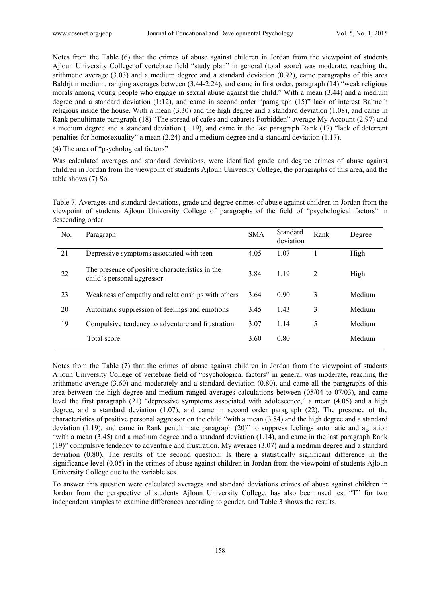Notes from the Table (6) that the crimes of abuse against children in Jordan from the viewpoint of students Ajloun University College of vertebrae field "study plan" in general (total score) was moderate, reaching the arithmetic average (3.03) and a medium degree and a standard deviation (0.92), came paragraphs of this area Baldrjtin medium, ranging averages between (3.44-2.24), and came in first order, paragraph (14) "weak religious morals among young people who engage in sexual abuse against the child." With a mean (3.44) and a medium degree and a standard deviation (1:12), and came in second order "paragraph (15)" lack of interest Baltncih religious inside the house. With a mean (3.30) and the high degree and a standard deviation (1.08), and came in Rank penultimate paragraph (18) "The spread of cafes and cabarets Forbidden" average My Account (2.97) and a medium degree and a standard deviation (1.19), and came in the last paragraph Rank (17) "lack of deterrent penalties for homosexuality" a mean (2.24) and a medium degree and a standard deviation (1.17).

#### (4) The area of "psychological factors"

Was calculated averages and standard deviations, were identified grade and degree crimes of abuse against children in Jordan from the viewpoint of students Ajloun University College, the paragraphs of this area, and the table shows (7) So.

Table 7. Averages and standard deviations, grade and degree crimes of abuse against children in Jordan from the viewpoint of students Ajloun University College of paragraphs of the field of "psychological factors" in descending order

| No. | Paragraph                                                                     | <b>SMA</b> | Standard<br>deviation | Rank           | Degree |
|-----|-------------------------------------------------------------------------------|------------|-----------------------|----------------|--------|
| 21  | Depressive symptoms associated with teen                                      | 4.05       | 1.07                  |                | High   |
| 22  | The presence of positive characteristics in the<br>child's personal aggressor | 3.84       | 1.19                  | $\mathfrak{D}$ | High   |
| 23  | Weakness of empathy and relationships with others                             | 3.64       | 0.90                  | 3              | Medium |
| 20  | Automatic suppression of feelings and emotions                                | 3.45       | 1.43                  | 3              | Medium |
| 19  | Compulsive tendency to adventure and frustration                              | 3.07       | 1.14                  | 5              | Medium |
|     | Total score                                                                   | 3.60       | 0.80                  |                | Medium |

Notes from the Table (7) that the crimes of abuse against children in Jordan from the viewpoint of students Ajloun University College of vertebrae field of "psychological factors" in general was moderate, reaching the arithmetic average (3.60) and moderately and a standard deviation (0.80), and came all the paragraphs of this area between the high degree and medium ranged averages calculations between (05/04 to 07/03), and came level the first paragraph (21) "depressive symptoms associated with adolescence," a mean (4.05) and a high degree, and a standard deviation (1.07), and came in second order paragraph (22). The presence of the characteristics of positive personal aggressor on the child "with a mean (3.84) and the high degree and a standard deviation (1.19), and came in Rank penultimate paragraph (20)" to suppress feelings automatic and agitation "with a mean (3.45) and a medium degree and a standard deviation (1.14), and came in the last paragraph Rank (19)" compulsive tendency to adventure and frustration. My average (3.07) and a medium degree and a standard deviation (0.80). The results of the second question: Is there a statistically significant difference in the significance level (0.05) in the crimes of abuse against children in Jordan from the viewpoint of students Ajloun University College due to the variable sex.

To answer this question were calculated averages and standard deviations crimes of abuse against children in Jordan from the perspective of students Ajloun University College, has also been used test "T" for two independent samples to examine differences according to gender, and Table 3 shows the results.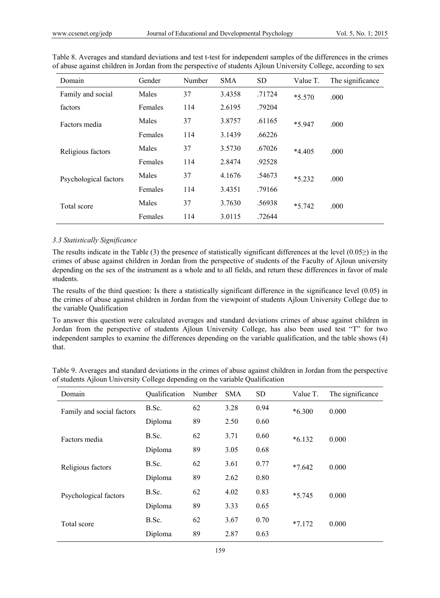| Domain                | Gender  | Number | <b>SMA</b> | <b>SD</b> | Value T. | The significance |
|-----------------------|---------|--------|------------|-----------|----------|------------------|
| Family and social     | Males   | 37     | 3.4358     | .71724    | $*5.570$ | .000             |
| factors               | Females | 114    | 2.6195     | .79204    |          |                  |
| Factors media         | Males   | 37     | 3.8757     | .61165    | *5 947   | .000             |
|                       | Females | 114    | 3.1439     | .66226    |          |                  |
| Religious factors     | Males   | 37     | 3.5730     | .67026    | $*4.405$ | .000             |
|                       | Females | 114    | 2.8474     | .92528    |          |                  |
|                       | Males   | 37     | 4.1676     | .54673    | $*5.232$ | .000             |
| Psychological factors | Females | 114    | 3.4351     | .79166    |          |                  |
|                       | Males   | 37     | 3.7630     | .56938    |          |                  |
|                       | Females | 114    | 3.0115     | .72644    |          |                  |
| Total score           |         |        |            |           | $*5.742$ | .000             |

Table 8. Averages and standard deviations and test t-test for independent samples of the differences in the crimes of abuse against children in Jordan from the perspective of students Ajloun University College, according to sex

#### *3.3 Statistically Significance*

The results indicate in the Table (3) the presence of statistically significant differences at the level (0.05 $\geq$ ) in the crimes of abuse against children in Jordan from the perspective of students of the Faculty of Ajloun university depending on the sex of the instrument as a whole and to all fields, and return these differences in favor of male students.

The results of the third question: Is there a statistically significant difference in the significance level (0.05) in the crimes of abuse against children in Jordan from the viewpoint of students Ajloun University College due to the variable Qualification

To answer this question were calculated averages and standard deviations crimes of abuse against children in Jordan from the perspective of students Ajloun University College, has also been used test "T" for two independent samples to examine the differences depending on the variable qualification, and the table shows (4) that.

Table 9. Averages and standard deviations in the crimes of abuse against children in Jordan from the perspective of students Ajloun University College depending on the variable Qualification

| Domain                    | Qualification | Number | <b>SMA</b> | <b>SD</b> | Value T. | The significance |
|---------------------------|---------------|--------|------------|-----------|----------|------------------|
| Family and social factors | B.Sc.         | 62     | 3.28       | 0.94      | $*6.300$ | 0.000            |
|                           | Diploma       | 89     | 2.50       | 0.60      |          |                  |
| Factors media             | B.Sc.         | 62     | 3.71       | 0.60      | $*6.132$ | 0.000            |
|                           | Diploma       | 89     | 3.05       | 0.68      |          |                  |
| Religious factors         | B.Sc.         | 62     | 3.61       | 0.77      | $*7.642$ | 0.000            |
|                           | Diploma       | 89     | 2.62       | 0.80      |          |                  |
| Psychological factors     | B.Sc.         | 62     | 4.02       | 0.83      | $*5.745$ | 0.000            |
|                           | Diploma       | 89     | 3.33       | 0.65      |          |                  |
| Total score               | B.Sc.         | 62     | 3.67       | 0.70      | $*7.172$ | 0.000            |
|                           | Diploma       | 89     | 2.87       | 0.63      |          |                  |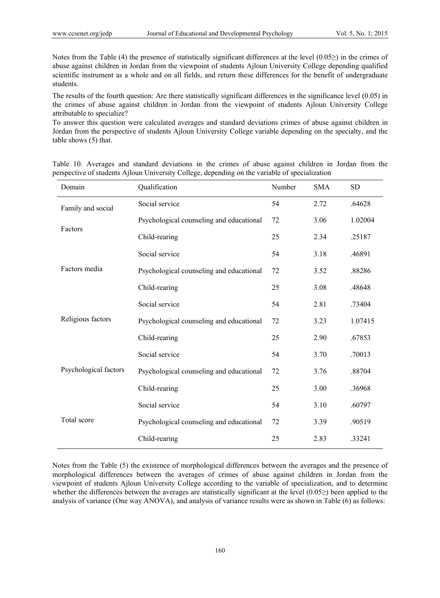Notes from the Table (4) the presence of statistically significant differences at the level  $(0.05\ge)$  in the crimes of abuse against children in Jordan from the viewpoint of students Ajloun University College depending qualified scientific instrument as a whole and on all fields, and return these differences for the benefit of undergraduate students.

The results of the fourth question: Are there statistically significant differences in the significance level (0.05) in the crimes of abuse against children in Jordan from the viewpoint of students Ajloun University College attributable to specialize?

To answer this question were calculated averages and standard deviations crimes of abuse against children in Jordan from the perspective of students Ajloun University College variable depending on the specialty, and the table shows (5) that.

| Domain                | Qualification                            | Number | <b>SMA</b> | <b>SD</b> |
|-----------------------|------------------------------------------|--------|------------|-----------|
| Family and social     | Social service                           | 54     | 2.72       | .64628    |
| Factors               | Psychological counseling and educational | 72     | 3.06       | 1.02004   |
|                       | Child-rearing                            | 25     | 2.34       | .25187    |
|                       | Social service                           | 54     | 3.18       | .46891    |
| Factors media         | Psychological counseling and educational | 72     | 3.52       | .88286    |
|                       | Child-rearing                            | 25     | 3.08       | .48648    |
|                       | Social service                           | 54     | 2.81       | .73404    |
| Religious factors     | Psychological counseling and educational | 72     | 3.23       | 1.07415   |
|                       | Child-rearing                            | 25     | 2.90       | .67853    |
|                       | Social service                           | 54     | 3.70       | .70013    |
| Psychological factors | Psychological counseling and educational | 72     | 3.76       | .88704    |
|                       | Child-rearing                            | 25     | 3.00       | .36968    |
| Total score           | Social service                           | 54     | 3.10       | .60797    |
|                       | Psychological counseling and educational | 72     | 3.39       | .90519    |
|                       | Child-rearing                            | 25     | 2.83       | .33241    |

Table 10. Averages and standard deviations in the crimes of abuse against children in Jordan from the perspective of students Ajloun University College, depending on the variable of specialization

Notes from the Table (5) the existence of morphological differences between the averages and the presence of morphological differences between the averages of crimes of abuse against children in Jordan from the viewpoint of students Ajloun University College according to the variable of specialization, and to determine whether the differences between the averages are statistically significant at the level  $(0.05\ge)$  been applied to the analysis of variance (One way ANOVA), and analysis of variance results were as shown in Table (6) as follows: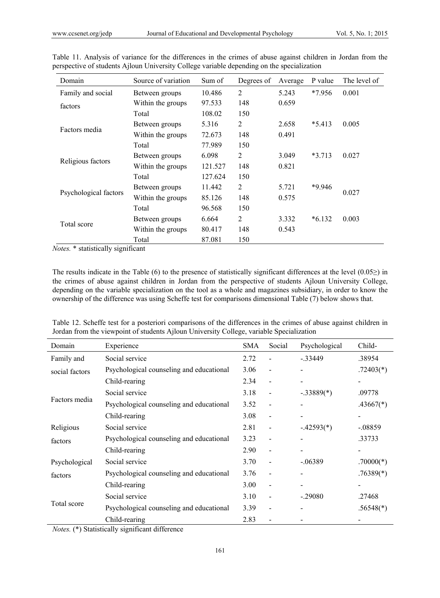| Domain                | Source of variation | Sum of  | Degrees of     | Average | P value  | The level of |
|-----------------------|---------------------|---------|----------------|---------|----------|--------------|
| Family and social     | Between groups      | 10.486  | $\overline{2}$ | 5.243   | $*7.956$ | 0.001        |
| factors               | Within the groups   | 97.533  | 148            | 0.659   |          |              |
|                       | Total               | 108.02  | 150            |         |          |              |
|                       | Between groups      | 5.316   | 2              | 2.658   | $*5.413$ | 0.005        |
| Factors media         | Within the groups   | 72.673  | 148            | 0.491   |          |              |
|                       | Total               | 77.989  | 150            |         |          |              |
|                       | Between groups      | 6.098   | $\overline{2}$ | 3.049   | $*3.713$ | 0.027        |
| Religious factors     | Within the groups   | 121.527 | 148            | 0.821   |          |              |
|                       | Total               | 127.624 | 150            |         |          |              |
|                       | Between groups      | 11.442  | $\overline{c}$ | 5.721   | $*9.946$ |              |
| Psychological factors | Within the groups   | 85.126  | 148            | 0.575   |          | 0.027        |
|                       | Total               | 96.568  | 150            |         |          |              |
| Total score           | Between groups      | 6.664   | 2              | 3.332   | $*6.132$ | 0.003        |
|                       | Within the groups   | 80.417  | 148            | 0.543   |          |              |
|                       | Total               | 87.081  | 150            |         |          |              |

Table 11. Analysis of variance for the differences in the crimes of abuse against children in Jordan from the perspective of students Ajloun University College variable depending on the specialization

*Notes.* \* statistically significant

The results indicate in the Table (6) to the presence of statistically significant differences at the level (0.05 $\geq$ ) in the crimes of abuse against children in Jordan from the perspective of students Ajloun University College, depending on the variable specialization on the tool as a whole and magazines subsidiary, in order to know the ownership of the difference was using Scheffe test for comparisons dimensional Table (7) below shows that.

| Table 12. Scheffe test for a posteriori comparisons of the differences in the crimes of abuse against children in |  |  |
|-------------------------------------------------------------------------------------------------------------------|--|--|
| Jordan from the viewpoint of students Ajloun University College, variable Specialization                          |  |  |

| Domain         | Experience                               | <b>SMA</b> | Social                       | Psychological | Child-      |
|----------------|------------------------------------------|------------|------------------------------|---------------|-------------|
| Family and     | Social service                           | 2.72       | $\overline{a}$               | $-.33449$     | .38954      |
| social factors | Psychological counseling and educational | 3.06       | $\overline{a}$               |               | $.72403(*)$ |
|                | Child-rearing                            | 2.34       | $\qquad \qquad \blacksquare$ |               |             |
|                | Social service                           | 3.18       | $\overline{a}$               | $-.33889(*)$  | .09778      |
| Factors media  | Psychological counseling and educational | 3.52       | $\qquad \qquad \blacksquare$ |               | $.43667(*)$ |
|                | Child-rearing                            | 3.08       | $\qquad \qquad \blacksquare$ |               |             |
| Religious      | Social service                           | 2.81       |                              | $-.42593(*)$  | $-.08859$   |
| factors        | Psychological counseling and educational | 3.23       | $\overline{a}$               |               | .33733      |
|                | Child-rearing                            | 2.90       | $\overline{a}$               |               |             |
| Psychological  | Social service                           | 3.70       | $\overline{\phantom{0}}$     | $-.06389$     | $.70000(*)$ |
| factors        | Psychological counseling and educational | 3.76       | $\qquad \qquad \blacksquare$ |               | $.76389(*)$ |
|                | Child-rearing                            | 3.00       | $\overline{a}$               |               |             |
|                | Social service                           | 3.10       | $\overline{a}$               | $-.29080$     | .27468      |
| Total score    | Psychological counseling and educational | 3.39       | $\qquad \qquad$              |               | $.56548(*)$ |
|                | Child-rearing                            | 2.83       |                              |               |             |

*Notes.* (\*) Statistically significant difference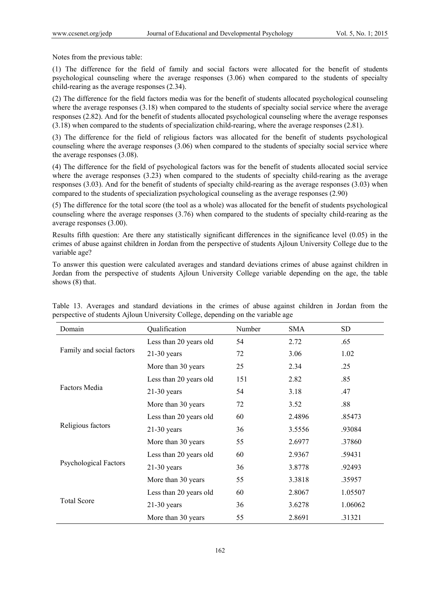Notes from the previous table:

(1) The difference for the field of family and social factors were allocated for the benefit of students psychological counseling where the average responses (3.06) when compared to the students of specialty child-rearing as the average responses (2.34).

(2) The difference for the field factors media was for the benefit of students allocated psychological counseling where the average responses  $(3.18)$  when compared to the students of specialty social service where the average responses (2.82). And for the benefit of students allocated psychological counseling where the average responses (3.18) when compared to the students of specialization child-rearing, where the average responses (2.81).

(3) The difference for the field of religious factors was allocated for the benefit of students psychological counseling where the average responses (3.06) when compared to the students of specialty social service where the average responses (3.08).

(4) The difference for the field of psychological factors was for the benefit of students allocated social service where the average responses  $(3.23)$  when compared to the students of specialty child-rearing as the average responses (3.03). And for the benefit of students of specialty child-rearing as the average responses (3.03) when compared to the students of specialization psychological counseling as the average responses (2.90)

(5) The difference for the total score (the tool as a whole) was allocated for the benefit of students psychological counseling where the average responses (3.76) when compared to the students of specialty child-rearing as the average responses (3.00).

Results fifth question: Are there any statistically significant differences in the significance level (0.05) in the crimes of abuse against children in Jordan from the perspective of students Ajloun University College due to the variable age?

To answer this question were calculated averages and standard deviations crimes of abuse against children in Jordan from the perspective of students Ajloun University College variable depending on the age, the table shows (8) that.

| Domain                       | Qualification          | Number | <b>SMA</b> | SD.     |
|------------------------------|------------------------|--------|------------|---------|
|                              | Less than 20 years old | 54     | 2.72       | .65     |
| Family and social factors    | $21-30$ years          | 72     | 3.06       | 1.02    |
|                              | More than 30 years     | 25     | 2.34       | .25     |
|                              | Less than 20 years old | 151    | 2.82       | .85     |
| Factors Media                | $21-30$ years          | 54     | 3.18       | .47     |
|                              | More than 30 years     | 72     | 3.52       | .88     |
|                              | Less than 20 years old | 60     | 2.4896     | .85473  |
| Religious factors            | $21-30$ years          | 36     | 3.5556     | .93084  |
|                              | More than 30 years     | 55     | 2.6977     | .37860  |
|                              | Less than 20 years old | 60     | 2.9367     | .59431  |
| <b>Psychological Factors</b> | $21-30$ years          | 36     | 3.8778     | .92493  |
|                              | More than 30 years     | 55     | 3.3818     | .35957  |
|                              | Less than 20 years old | 60     | 2.8067     | 1.05507 |
| <b>Total Score</b>           | $21-30$ years          | 36     | 3.6278     | 1.06062 |
|                              | More than 30 years     | 55     | 2.8691     | .31321  |

Table 13. Averages and standard deviations in the crimes of abuse against children in Jordan from the perspective of students Ajloun University College, depending on the variable age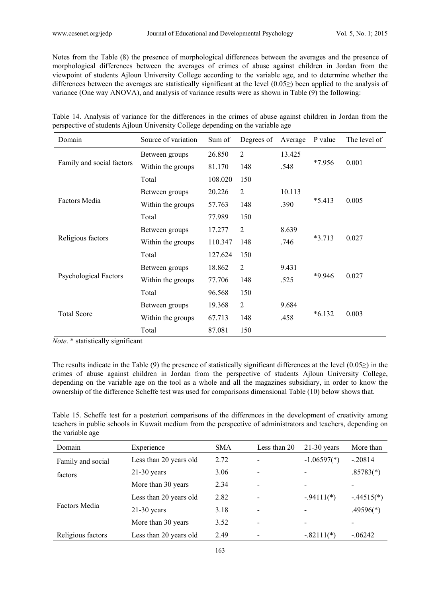Notes from the Table (8) the presence of morphological differences between the averages and the presence of morphological differences between the averages of crimes of abuse against children in Jordan from the viewpoint of students Ajloun University College according to the variable age, and to determine whether the differences between the averages are statistically significant at the level (0.05≥) been applied to the analysis of variance (One way ANOVA), and analysis of variance results were as shown in Table (9) the following:

| Table 14. Analysis of variance for the differences in the crimes of abuse against children in Jordan from the |  |  |  |  |  |  |
|---------------------------------------------------------------------------------------------------------------|--|--|--|--|--|--|
| perspective of students Ajloun University College depending on the variable age                               |  |  |  |  |  |  |

| Domain                       | Source of variation | Sum of  | Degrees of     | Average          | P value  | The level of |
|------------------------------|---------------------|---------|----------------|------------------|----------|--------------|
|                              | Between groups      | 26.850  | $\overline{2}$ | 13.425           |          |              |
| Family and social factors    | Within the groups   | 81.170  | 148            | .548             | $*7.956$ | 0.001        |
|                              | Total               | 108.020 | 150            |                  |          |              |
|                              | Between groups      | 20.226  | 2              | 10.113           |          |              |
| <b>Factors Media</b>         | Within the groups   | 57.763  | 148            | .390             | $*5.413$ | 0.005        |
|                              | Total               | 77.989  | 150            |                  |          |              |
|                              | Between groups      | 17.277  | 2              | 8.639            |          | 0.027        |
| Religious factors            | Within the groups   | 110.347 | 148            | .746             | $*3.713$ |              |
|                              | Total               | 127.624 | 150            |                  |          |              |
|                              | Between groups      | 18.862  | $\overline{2}$ | 9.431            |          |              |
| <b>Psychological Factors</b> | Within the groups   | 77.706  | 148            | .525             | $*9.946$ | 0.027        |
|                              | Total               | 96.568  | 150            |                  |          |              |
| <b>Total Score</b>           | Between groups      | 19.368  | $\overline{2}$ | 9.684            |          |              |
|                              | Within the groups   | 67.713  | 148            | $*6.132$<br>.458 |          | 0.003        |
|                              | Total               | 87.081  | 150            |                  |          |              |

*Note*. \* statistically significant

The results indicate in the Table (9) the presence of statistically significant differences at the level  $(0.05\ge)$  in the crimes of abuse against children in Jordan from the perspective of students Ajloun University College, depending on the variable age on the tool as a whole and all the magazines subsidiary, in order to know the ownership of the difference Scheffe test was used for comparisons dimensional Table (10) below shows that.

Table 15. Scheffe test for a posteriori comparisons of the differences in the development of creativity among teachers in public schools in Kuwait medium from the perspective of administrators and teachers, depending on the variable age

| Domain            | Experience             | <b>SMA</b> | Less than 20 | $21-30$ years            | More than    |
|-------------------|------------------------|------------|--------------|--------------------------|--------------|
| Family and social | Less than 20 years old | 2.72       |              | $-1.06597(*)$            | $-.20814$    |
| factors           | $21-30$ years          | 3.06       |              | $\overline{\phantom{a}}$ | $.85783(*)$  |
|                   | More than 30 years     | 2.34       | -            | $\overline{\phantom{a}}$ |              |
|                   | Less than 20 years old | 2.82       |              | $-.94111(*)$             | $-.44515(*)$ |
| Factors Media     | $21-30$ years          | 3.18       |              | $\overline{\phantom{a}}$ | $.49596(*)$  |
|                   | More than 30 years     | 3.52       |              | $\overline{\phantom{a}}$ |              |
| Religious factors | Less than 20 years old | 2.49       |              | $-.82111(*)$             | $-0.06242$   |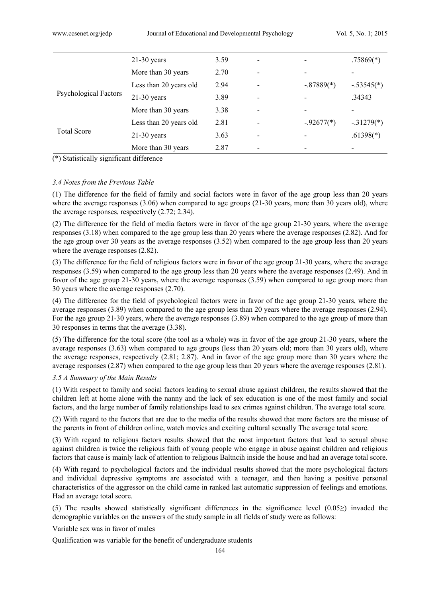|                              | $21-30$ years          | 3.59 |                          |              | $.75869(*)$  |
|------------------------------|------------------------|------|--------------------------|--------------|--------------|
|                              | More than 30 years     | 2.70 |                          |              |              |
|                              | Less than 20 years old | 2.94 |                          | $-.87889(*)$ | $-.53545(*)$ |
| <b>Psychological Factors</b> | $21-30$ years          | 3.89 | $\overline{\phantom{a}}$ |              | .34343       |
|                              | More than 30 years     | 3.38 |                          |              |              |
| <b>Total Score</b>           | Less than 20 years old | 2.81 |                          | $-.92677(*)$ | $-31279(*)$  |
|                              | $21-30$ years          | 3.63 |                          |              | $.61398(*)$  |
|                              | More than 30 years     | 2.87 |                          |              |              |

(\*) Statistically significant difference

#### *3.4 Notes from the Previous Table*

(1) The difference for the field of family and social factors were in favor of the age group less than 20 years where the average responses (3.06) when compared to age groups (21-30 years, more than 30 years old), where the average responses, respectively (2.72; 2.34).

(2) The difference for the field of media factors were in favor of the age group 21-30 years, where the average responses (3.18) when compared to the age group less than 20 years where the average responses (2.82). And for the age group over 30 years as the average responses (3.52) when compared to the age group less than 20 years where the average responses (2.82).

(3) The difference for the field of religious factors were in favor of the age group 21-30 years, where the average responses (3.59) when compared to the age group less than 20 years where the average responses (2.49). And in favor of the age group 21-30 years, where the average responses (3.59) when compared to age group more than 30 years where the average responses (2.70).

(4) The difference for the field of psychological factors were in favor of the age group 21-30 years, where the average responses (3.89) when compared to the age group less than 20 years where the average responses (2.94). For the age group 21-30 years, where the average responses (3.89) when compared to the age group of more than 30 responses in terms that the average (3.38).

(5) The difference for the total score (the tool as a whole) was in favor of the age group 21-30 years, where the average responses (3.63) when compared to age groups (less than 20 years old; more than 30 years old), where the average responses, respectively (2.81; 2.87). And in favor of the age group more than 30 years where the average responses (2.87) when compared to the age group less than 20 years where the average responses (2.81).

## *3.5 A Summary of the Main Results*

(1) With respect to family and social factors leading to sexual abuse against children, the results showed that the children left at home alone with the nanny and the lack of sex education is one of the most family and social factors, and the large number of family relationships lead to sex crimes against children. The average total score.

(2) With regard to the factors that are due to the media of the results showed that more factors are the misuse of the parents in front of children online, watch movies and exciting cultural sexually The average total score.

(3) With regard to religious factors results showed that the most important factors that lead to sexual abuse against children is twice the religious faith of young people who engage in abuse against children and religious factors that cause is mainly lack of attention to religious Baltncih inside the house and had an average total score.

(4) With regard to psychological factors and the individual results showed that the more psychological factors and individual depressive symptoms are associated with a teenager, and then having a positive personal characteristics of the aggressor on the child came in ranked last automatic suppression of feelings and emotions. Had an average total score.

(5) The results showed statistically significant differences in the significance level (0.05≥) invaded the demographic variables on the answers of the study sample in all fields of study were as follows:

Variable sex was in favor of males

Qualification was variable for the benefit of undergraduate students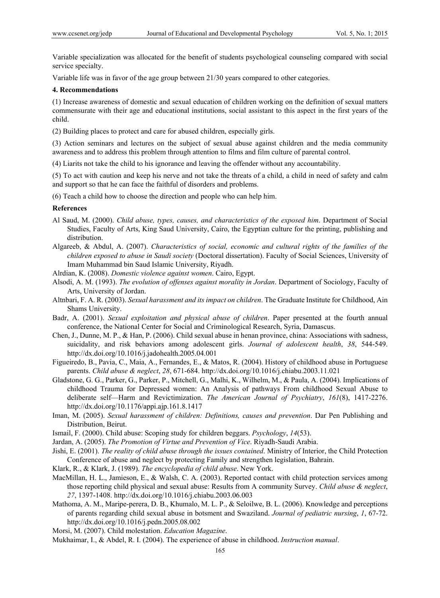Variable specialization was allocated for the benefit of students psychological counseling compared with social service specialty.

Variable life was in favor of the age group between 21/30 years compared to other categories.

## **4. Recommendations**

(1) Increase awareness of domestic and sexual education of children working on the definition of sexual matters commensurate with their age and educational institutions, social assistant to this aspect in the first years of the child.

(2) Building places to protect and care for abused children, especially girls.

(3) Action seminars and lectures on the subject of sexual abuse against children and the media community awareness and to address this problem through attention to films and film culture of parental control.

(4) Liarits not take the child to his ignorance and leaving the offender without any accountability.

(5) To act with caution and keep his nerve and not take the threats of a child, a child in need of safety and calm and support so that he can face the faithful of disorders and problems.

(6) Teach a child how to choose the direction and people who can help him.

#### **References**

- Al Saud, M. (2000). *Child abuse, types, causes, and characteristics of the exposed him*. Department of Social Studies, Faculty of Arts, King Saud University, Cairo, the Egyptian culture for the printing, publishing and distribution.
- Algareeb, & Abdul, A. (2007). *Characteristics of social, economic and cultural rights of the families of the children exposed to abuse in Saudi society* (Doctoral dissertation). Faculty of Social Sciences, University of Imam Muhammad bin Saud Islamic University, Riyadh.
- Alrdian, K. (2008). *Domestic violence against women*. Cairo, Egypt.
- Alsodi, A. M. (1993). *The evolution of offenses against morality in Jordan*. Department of Sociology, Faculty of Arts, University of Jordan.
- Altnbari, F. A. R. (2003). *Sexual harassment and its impact on children*. The Graduate Institute for Childhood, Ain Shams University.
- Badr, A. (2001). *Sexual exploitation and physical abuse of children*. Paper presented at the fourth annual conference, the National Center for Social and Criminological Research, Syria, Damascus.
- Chen, J., Dunne, M. P., & Han, P. (2006). Child sexual abuse in henan province, china: Associations with sadness, suicidality, and risk behaviors among adolescent girls. *Journal of adolescent health*, *38*, 544-549. http://dx.doi.org/10.1016/j.jadohealth.2005.04.001
- Figueiredo, B., Pavia, C., Maia, A., Fernandes, E., & Matos, R. (2004). History of childhood abuse in Portuguese parents. *Child abuse & neglect*, *28*, 671-684. http://dx.doi.org/10.1016/j.chiabu.2003.11.021
- Gladstone, G. G., Parker, G., Parker, P., Mitchell, G., Malhi, K., Wilhelm, M., & Paula, A. (2004). Implications of childhood Trauma for Depressed women: An Analysis of pathways From childhood Sexual Abuse to deliberate self—Harm and Revictimization. *The American Journal of Psychiatry*, *161*(8), 1417-2276. http://dx.doi.org/10.1176/appi.ajp.161.8.1417
- Iman, M. (2005). *Sexual harassment of children: Definitions, causes and prevention*. Dar Pen Publishing and Distribution, Beirut.
- Ismail, F. (2000). Child abuse: Scoping study for children beggars. *Psychology*, *14*(53).
- Jardan, A. (2005). *The Promotion of Virtue and Prevention of Vice*. Riyadh-Saudi Arabia.
- Jishi, E. (2001). *The reality of child abuse through the issues contained*. Ministry of Interior, the Child Protection Conference of abuse and neglect by protecting Family and strengthen legislation, Bahrain.
- Klark, R., & Klark, J. (1989). *The encyclopedia of child abuse*. New York.
- MacMillan, H. L., Jamieson, E., & Walsh, C. A. (2003). Reported contact with child protection services among those reporting child physical and sexual abuse: Results from A community Survey. *Child abuse & neglect*, *27*, 1397-1408. http://dx.doi.org/10.1016/j.chiabu.2003.06.003
- Mathoma, A. M., Maripe-perera, D. B., Khumalo, M. L. P., & Seloilwe, B. L. (2006). Knowledge and perceptions of parents regarding child sexual abuse in botsment and Swaziland. *Journal of pediatric nursing*, *1*, 67-72. http://dx.doi.org/10.1016/j.pedn.2005.08.002
- Morsi, M. (2007). Child molestation. *Education Magazine*.
- Mukhaimar, I., & Abdel, R. I. (2004). The experience of abuse in childhood. *Instruction manual*.